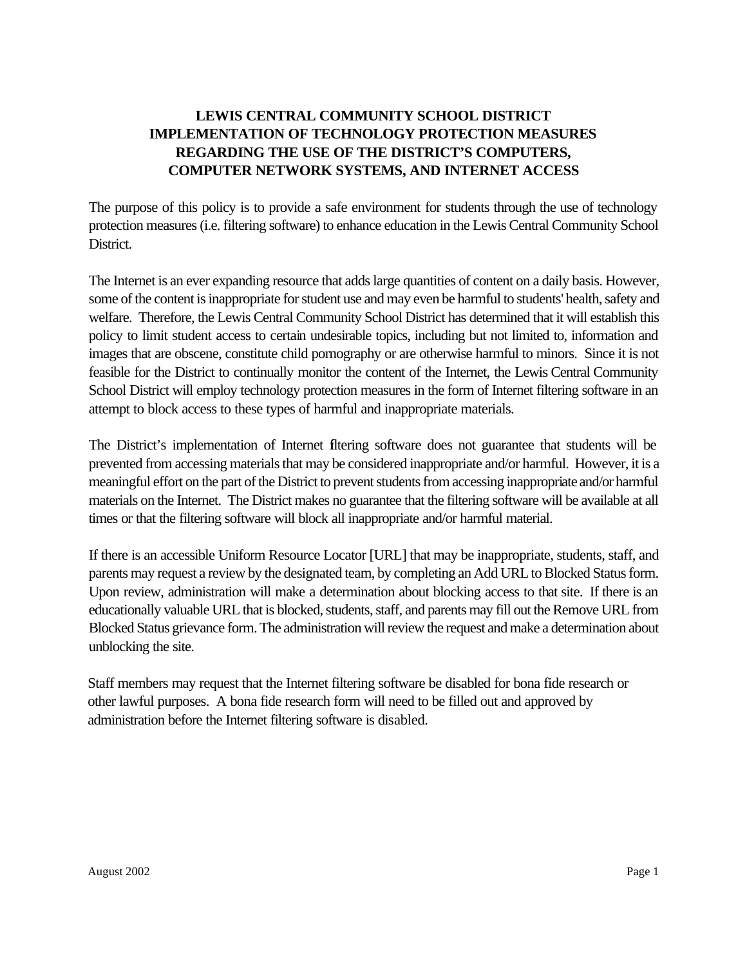## **LEWIS CENTRAL COMMUNITY SCHOOL DISTRICT IMPLEMENTATION OF TECHNOLOGY PROTECTION MEASURES REGARDING THE USE OF THE DISTRICT'S COMPUTERS, COMPUTER NETWORK SYSTEMS, AND INTERNET ACCESS**

The purpose of this policy is to provide a safe environment for students through the use of technology protection measures (i.e. filtering software) to enhance education in the Lewis Central Community School District.

The Internet is an ever expanding resource that adds large quantities of content on a daily basis. However, some of the content is inappropriate for student use and may even be harmful to students' health, safety and welfare. Therefore, the Lewis Central Community School District has determined that it will establish this policy to limit student access to certain undesirable topics, including but not limited to, information and images that are obscene, constitute child pornography or are otherwise harmful to minors. Since it is not feasible for the District to continually monitor the content of the Internet, the Lewis Central Community School District will employ technology protection measures in the form of Internet filtering software in an attempt to block access to these types of harmful and inappropriate materials.

The District's implementation of Internet filtering software does not guarantee that students will be prevented from accessing materials that may be considered inappropriate and/or harmful. However, it is a meaningful effort on the part of the District to prevent students from accessing inappropriate and/or harmful materials on the Internet. The District makes no guarantee that the filtering software will be available at all times or that the filtering software will block all inappropriate and/or harmful material.

If there is an accessible Uniform Resource Locator [URL] that may be inappropriate, students, staff, and parents may request a review by the designated team, by completing an Add URL to Blocked Status form. Upon review, administration will make a determination about blocking access to that site. If there is an educationally valuable URL that is blocked, students, staff, and parents may fill out the Remove URL from Blocked Status grievance form. The administration will review the request and make a determination about unblocking the site.

Staff members may request that the Internet filtering software be disabled for bona fide research or other lawful purposes. A bona fide research form will need to be filled out and approved by administration before the Internet filtering software is disabled.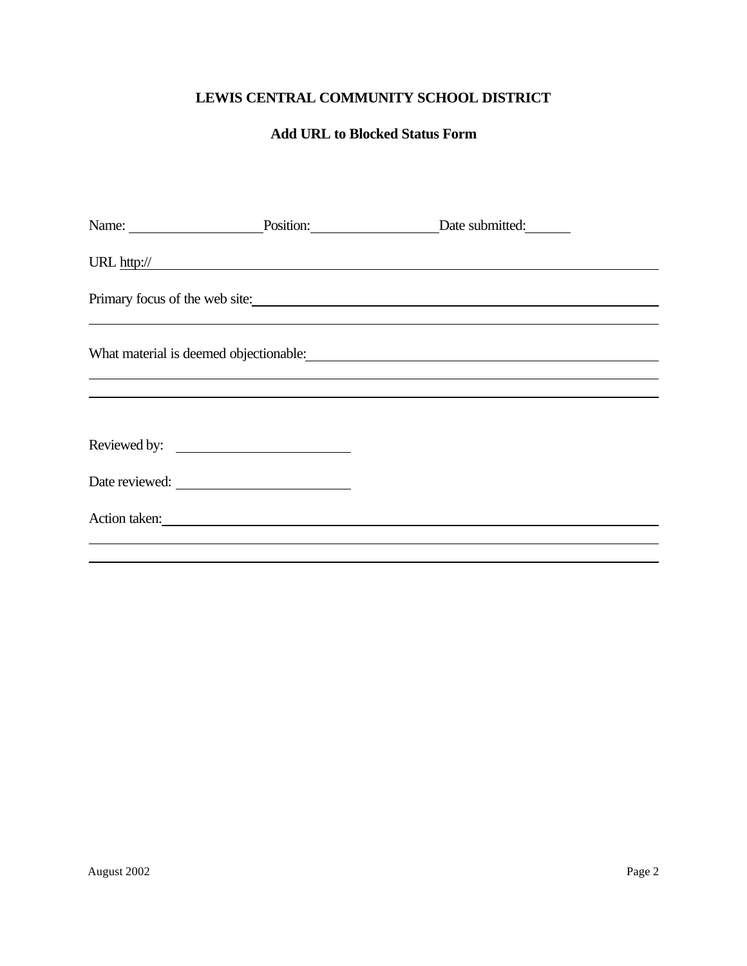# **LEWIS CENTRAL COMMUNITY SCHOOL DISTRICT**

## **Add URL to Blocked Status Form**

|              | Name: Position: Date submitted:                                                                                       |  |
|--------------|-----------------------------------------------------------------------------------------------------------------------|--|
| URL http://  |                                                                                                                       |  |
|              | Primary focus of the web site:                                                                                        |  |
|              | <u> 1999 - Jan James James Barnett, amerikansk politik (d. 1989)</u>                                                  |  |
|              | What material is deemed objectionable:                                                                                |  |
|              | ,我们也不会有什么。""我们的人,我们也不会有什么?""我们的人,我们也不会有什么?""我们的人,我们也不会有什么?""我们的人,我们也不会有什么?""我们的人                                      |  |
|              | <u> 1990 - Jan Samuel Barbara, martin da basar da basar da basa da basa da basa da basa da basa da basa da basa d</u> |  |
| Reviewed by: |                                                                                                                       |  |
|              |                                                                                                                       |  |
|              | Action taken:                                                                                                         |  |
|              |                                                                                                                       |  |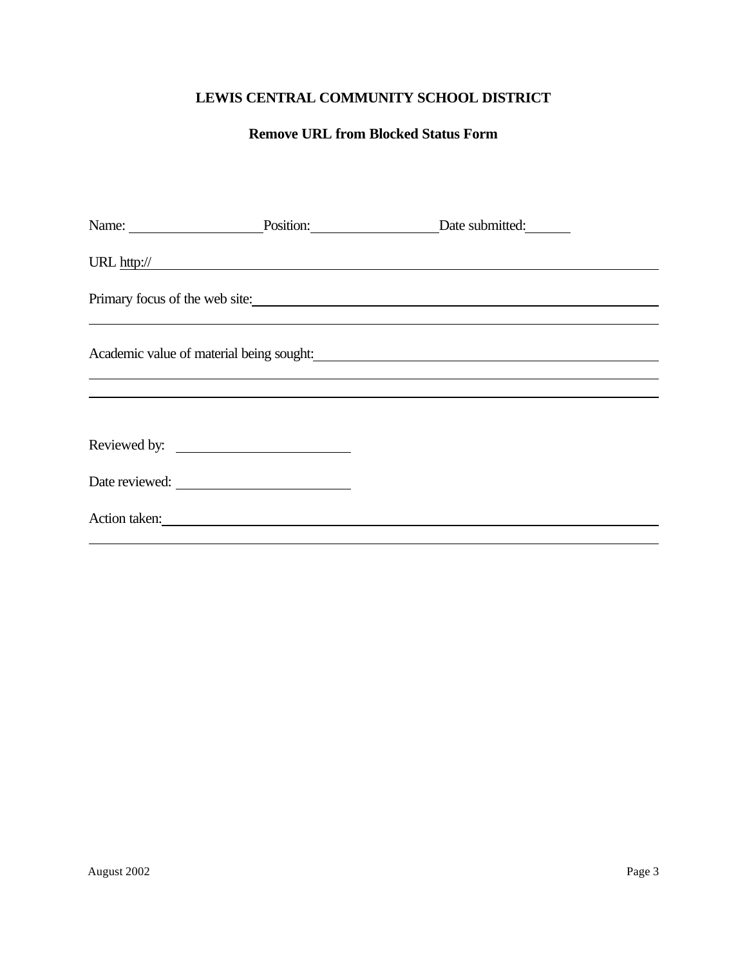# **LEWIS CENTRAL COMMUNITY SCHOOL DISTRICT**

## **Remove URL from Blocked Status Form**

|                | Name: Position: Date submitted:                                     |  |
|----------------|---------------------------------------------------------------------|--|
|                | URL http://                                                         |  |
|                | Primary focus of the web site:                                      |  |
|                | Academic value of material being sought: Material Lines and Sought: |  |
|                |                                                                     |  |
| Reviewed by:   |                                                                     |  |
| Date reviewed: |                                                                     |  |
|                |                                                                     |  |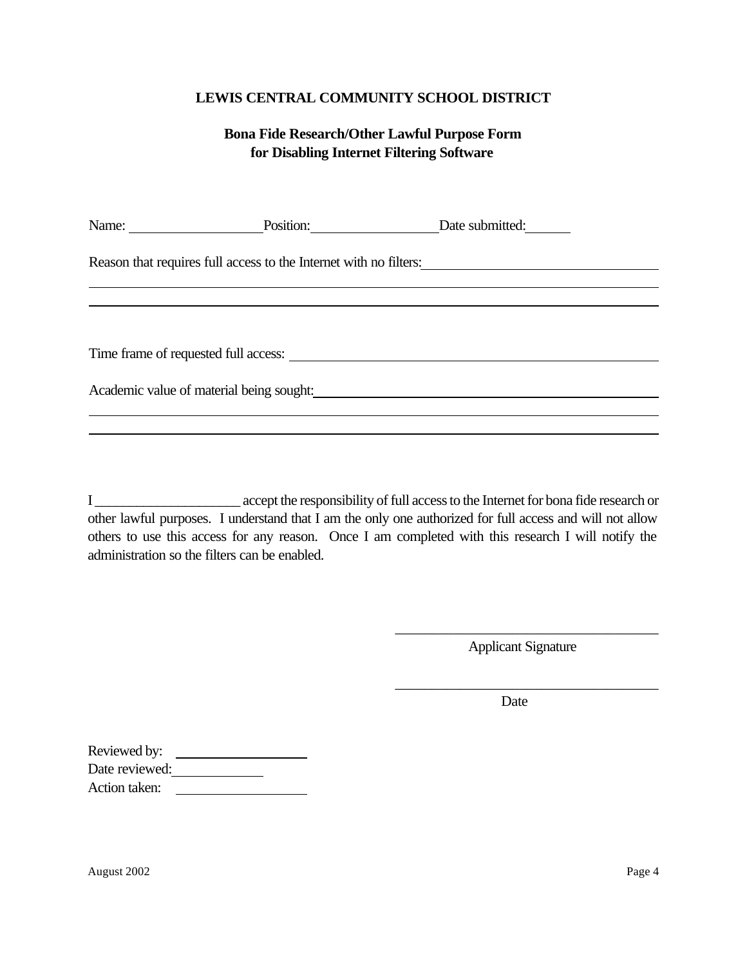#### **LEWIS CENTRAL COMMUNITY SCHOOL DISTRICT**

#### **Bona Fide Research/Other Lawful Purpose Form for Disabling Internet Filtering Software**

| Name:                                                             | Position: | Date submitted: |  |  |  |
|-------------------------------------------------------------------|-----------|-----------------|--|--|--|
| Reason that requires full access to the Internet with no filters: |           |                 |  |  |  |
|                                                                   |           |                 |  |  |  |
|                                                                   |           |                 |  |  |  |
| Time frame of requested full access:                              |           |                 |  |  |  |
| Academic value of material being sought:                          |           |                 |  |  |  |
|                                                                   |           |                 |  |  |  |

I \_\_\_\_\_\_\_\_\_\_\_\_\_\_\_\_\_\_\_\_\_ accept the responsibility of full access to the Internet for bona fide research or other lawful purposes. I understand that I am the only one authorized for full access and will not allow others to use this access for any reason. Once I am completed with this research I will notify the administration so the filters can be enabled.

> \_\_\_\_\_\_\_\_\_\_\_\_\_\_\_\_\_\_\_\_\_\_\_\_\_\_\_\_\_\_\_\_\_\_\_\_ Applicant Signature

> \_\_\_\_\_\_\_\_\_\_\_\_\_\_\_\_\_\_\_\_\_\_\_\_\_\_\_\_\_\_\_\_\_\_\_\_

Date

| Reviewed by:   |  |
|----------------|--|
| Date reviewed: |  |
| Action taken:  |  |